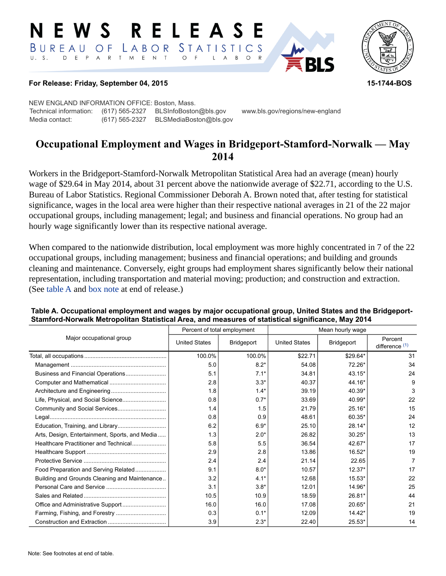#### RELEASE E W S STATISTICS BUREAU OF LABOR D E P A R T M E N T  $U. S.$  $\circ$  $\overline{F}$  $\mathsf{L}$  $\overline{A}$  $B$  $\circ$



## **For Release: Friday, September 04, 2015 15-1744-BOS**

NEW ENGLAND INFORMATION OFFICE: Boston, Mass. Technical information: (617) 565-2327 BLSInfoBoston@bls.gov www.bls.gov/regions/new-england Media contact: (617) 565-2327 BLSMediaBoston@bls.gov

# **Occupational Employment and Wages in Bridgeport-Stamford-Norwalk — May 2014**

Workers in the Bridgeport-Stamford-Norwalk Metropolitan Statistical Area had an average (mean) hourly wage of \$29.64 in May 2014, about 31 percent above the nationwide average of \$22.71, according to the U.S. Bureau of Labor Statistics. Regional Commissioner Deborah A. Brown noted that, after testing for statistical significance, wages in the local area were higher than their respective national averages in 21 of the 22 major occupational groups, including management; legal; and business and financial operations. No group had an hourly wage significantly lower than its respective national average.

When compared to the nationwide distribution, local employment was more highly concentrated in 7 of the 22 occupational groups, including management; business and financial operations; and building and grounds cleaning and maintenance. Conversely, eight groups had employment shares significantly below their national representation, including transportation and material moving; production; and construction and extraction. (See table A and [box note](#page-1-0) at end of release.)

|                                                |                      | Percent of total employment | Mean hourly wage     |            |                           |
|------------------------------------------------|----------------------|-----------------------------|----------------------|------------|---------------------------|
| Major occupational group                       | <b>United States</b> | Bridgeport                  | <b>United States</b> | Bridgeport | Percent<br>difference (1) |
|                                                | 100.0%               | 100.0%                      | \$22.71              | $$29.64*$  | 31                        |
|                                                | 5.0                  | $8.2*$                      | 54.08                | $72.26*$   | 34                        |
|                                                | 5.1                  | $7.1*$                      | 34.81                | 43.15*     | 24                        |
|                                                | 2.8                  | $3.3*$                      | 40.37                | 44.16*     | 9                         |
|                                                | 1.8                  | $1.4*$                      | 39.19                | 40.39*     | 3                         |
| Life, Physical, and Social Science             | 0.8                  | $0.7*$                      | 33.69                | 40.99*     | 22                        |
|                                                | 1.4                  | 1.5                         | 21.79                | $25.16*$   | 15                        |
|                                                | 0.8                  | 0.9                         | 48.61                | 60.35*     | 24                        |
|                                                | 6.2                  | $6.9*$                      | 25.10                | 28.14*     | 12                        |
| Arts, Design, Entertainment, Sports, and Media | 1.3                  | $2.0*$                      | 26.82                | $30.25*$   | 13                        |
| Healthcare Practitioner and Technical          | 5.8                  | 5.5                         | 36.54                | 42.67*     | 17                        |
|                                                | 2.9                  | 2.8                         | 13.86                | 16.52*     | 19                        |
|                                                | 2.4                  | 2.4                         | 21.14                | 22.65      | 7                         |
| Food Preparation and Serving Related           | 9.1                  | $8.0*$                      | 10.57                | $12.37*$   | 17                        |
| Building and Grounds Cleaning and Maintenance  | 3.2                  | $4.1*$                      | 12.68                | $15.53*$   | 22                        |
|                                                | 3.1                  | $3.8*$                      | 12.01                | 14.96*     | 25                        |
|                                                | 10.5                 | 10.9                        | 18.59                | 26.81*     | 44                        |
|                                                | 16.0                 | 16.0                        | 17.08                | 20.65*     | 21                        |
|                                                | 0.3                  | $0.1*$                      | 12.09                | $14.42*$   | 19                        |
|                                                | 3.9                  | $2.3*$                      | 22.40                | $25.53*$   | 14                        |

## **Table A. Occupational employment and wages by major occupational group, United States and the Bridgeport-Stamford-Norwalk Metropolitan Statistical Area, and measures of statistical significance, May 2014**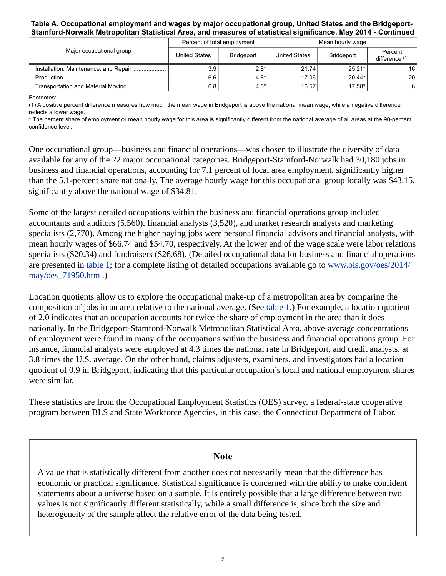## **Table A. Occupational employment and wages by major occupational group, United States and the Bridgeport-Stamford-Norwalk Metropolitan Statistical Area, and measures of statistical significance, May 2014 - Continued**

| Major occupational group              |               | Percent of total employment | Mean hourly wage |            |                           |
|---------------------------------------|---------------|-----------------------------|------------------|------------|---------------------------|
|                                       | United States | <b>Bridgeport</b>           | United States    | Bridgeport | Percent<br>difference (1) |
| Installation, Maintenance, and Repair | 3.9           | $2.8*$                      | 21.74            | $25.21*$   | 16                        |
|                                       | 6.6           | $4.8*$                      | 17.06            | $20.44*$   | 20                        |
| Transportation and Material Moving    | 6.8           | $4.5*$                      | 16.57            | 17.58*     | 6                         |

Footnotes:

<span id="page-1-1"></span>(1) A positive percent difference measures how much the mean wage in Bridgeport is above the national mean wage, while a negative difference reflects a lower wage.

\* The percent share of employment or mean hourly wage for this area is significantly different from the national average of all areas at the 90-percent confidence level.

One occupational group—business and financial operations—was chosen to illustrate the diversity of data available for any of the 22 major occupational categories. Bridgeport-Stamford-Norwalk had 30,180 jobs in business and financial operations, accounting for 7.1 percent of local area employment, significantly higher than the 5.1-percent share nationally. The average hourly wage for this occupational group locally was \$43.15, significantly above the national wage of \$34.81.

Some of the largest detailed occupations within the business and financial operations group included accountants and auditors (5,560), financial analysts (3,520), and market research analysts and marketing specialists (2,770). Among the higher paying jobs were personal financial advisors and financial analysts, with mean hourly wages of \$66.74 and \$54.70, respectively. At the lower end of the wage scale were labor relations specialists (\$20.34) and fundraisers (\$26.68). (Detailed occupational data for business and financial operations are presented in table 1; for a complete listing of detailed occupations available go to [www.bls.gov/oes/2014/](https://www.bls.gov/oes/2014/may/oes_71950.htm) [may/oes\\_71950.htm](https://www.bls.gov/oes/2014/may/oes_71950.htm) .)

Location quotients allow us to explore the occupational make-up of a metropolitan area by comparing the composition of jobs in an area relative to the national average. (See table 1.) For example, a location quotient of 2.0 indicates that an occupation accounts for twice the share of employment in the area than it does nationally. In the Bridgeport-Stamford-Norwalk Metropolitan Statistical Area, above-average concentrations of employment were found in many of the occupations within the business and financial operations group. For instance, financial analysts were employed at 4.3 times the national rate in Bridgeport, and credit analysts, at 3.8 times the U.S. average. On the other hand, claims adjusters, examiners, and investigators had a location quotient of 0.9 in Bridgeport, indicating that this particular occupation's local and national employment shares were similar.

These statistics are from the Occupational Employment Statistics (OES) survey, a federal-state cooperative program between BLS and State Workforce Agencies, in this case, the Connecticut Department of Labor.

## **Note**

<span id="page-1-0"></span>A value that is statistically different from another does not necessarily mean that the difference has economic or practical significance. Statistical significance is concerned with the ability to make confident statements about a universe based on a sample. It is entirely possible that a large difference between two values is not significantly different statistically, while a small difference is, since both the size and heterogeneity of the sample affect the relative error of the data being tested.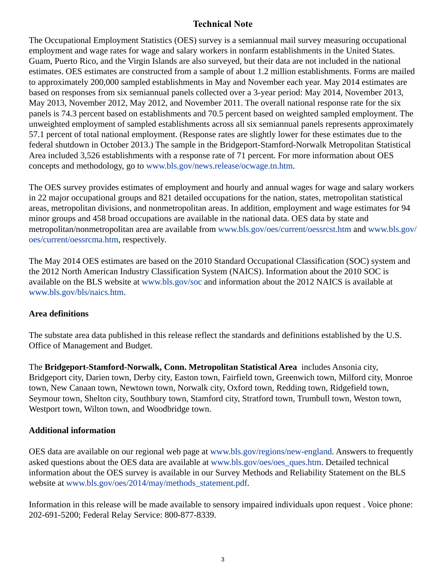# **Technical Note**

The Occupational Employment Statistics (OES) survey is a semiannual mail survey measuring occupational employment and wage rates for wage and salary workers in nonfarm establishments in the United States. Guam, Puerto Rico, and the Virgin Islands are also surveyed, but their data are not included in the national estimates. OES estimates are constructed from a sample of about 1.2 million establishments. Forms are mailed to approximately 200,000 sampled establishments in May and November each year. May 2014 estimates are based on responses from six semiannual panels collected over a 3-year period: May 2014, November 2013, May 2013, November 2012, May 2012, and November 2011. The overall national response rate for the six panels is 74.3 percent based on establishments and 70.5 percent based on weighted sampled employment. The unweighted employment of sampled establishments across all six semiannual panels represents approximately 57.1 percent of total national employment. (Response rates are slightly lower for these estimates due to the federal shutdown in October 2013.) The sample in the Bridgeport-Stamford-Norwalk Metropolitan Statistical Area included 3,526 establishments with a response rate of 71 percent. For more information about OES concepts and methodology, go to [www.bls.gov/news.release/ocwage.tn.htm](https://www.bls.gov/news.release/ocwage.tn.htm).

The OES survey provides estimates of employment and hourly and annual wages for wage and salary workers in 22 major occupational groups and 821 detailed occupations for the nation, states, metropolitan statistical areas, metropolitan divisions, and nonmetropolitan areas. In addition, employment and wage estimates for 94 minor groups and 458 broad occupations are available in the national data. OES data by state and metropolitan/nonmetropolitan area are available from [www.bls.gov/oes/current/oessrcst.htm](https://www.bls.gov/oes/current/oessrcst.htm) and [www.bls.gov/](https://www.bls.gov/oes/current/oessrcma.htm) [oes/current/oessrcma.htm,](https://www.bls.gov/oes/current/oessrcma.htm) respectively.

The May 2014 OES estimates are based on the 2010 Standard Occupational Classification (SOC) system and the 2012 North American Industry Classification System (NAICS). Information about the 2010 SOC is available on the BLS website at [www.bls.gov/soc](https://www.bls.gov/soc) and information about the 2012 NAICS is available at [www.bls.gov/bls/naics.htm.](https://www.bls.gov/bls/naics.htm)

# **Area definitions**

The substate area data published in this release reflect the standards and definitions established by the U.S. Office of Management and Budget.

The **Bridgeport-Stamford-Norwalk, Conn. Metropolitan Statistical Area** includes Ansonia city, Bridgeport city, Darien town, Derby city, Easton town, Fairfield town, Greenwich town, Milford city, Monroe town, New Canaan town, Newtown town, Norwalk city, Oxford town, Redding town, Ridgefield town, Seymour town, Shelton city, Southbury town, Stamford city, Stratford town, Trumbull town, Weston town, Westport town, Wilton town, and Woodbridge town.

# **Additional information**

OES data are available on our regional web page at [www.bls.gov/regions/new-england.](https://www.bls.gov/regions/new-england) Answers to frequently asked questions about the OES data are available at [www.bls.gov/oes/oes\\_ques.htm](https://www.bls.gov/oes/oes_ques.htm). Detailed technical information about the OES survey is available in our Survey Methods and Reliability Statement on the BLS website at [www.bls.gov/oes/2014/may/methods\\_statement.pdf.](https://www.bls.gov/oes/2014/may/methods_statement.pdf)

Information in this release will be made available to sensory impaired individuals upon request . Voice phone: 202-691-5200; Federal Relay Service: 800-877-8339.